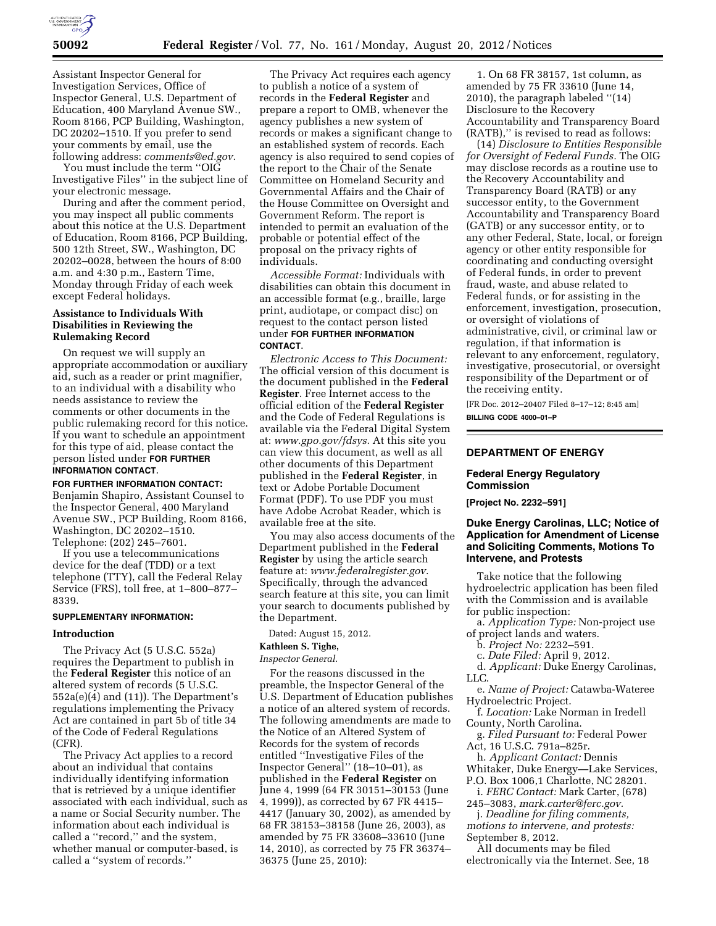

Assistant Inspector General for Investigation Services, Office of Inspector General, U.S. Department of Education, 400 Maryland Avenue SW., Room 8166, PCP Building, Washington, DC 20202–1510. If you prefer to send your comments by email, use the following address: *[comments@ed.gov.](mailto:comments@ed.gov)* 

You must include the term ''OIG Investigative Files'' in the subject line of your electronic message.

During and after the comment period, you may inspect all public comments about this notice at the U.S. Department of Education, Room 8166, PCP Building, 500 12th Street, SW., Washington, DC 20202–0028, between the hours of 8:00 a.m. and 4:30 p.m., Eastern Time, Monday through Friday of each week except Federal holidays.

## **Assistance to Individuals With Disabilities in Reviewing the Rulemaking Record**

On request we will supply an appropriate accommodation or auxiliary aid, such as a reader or print magnifier, to an individual with a disability who needs assistance to review the comments or other documents in the public rulemaking record for this notice. If you want to schedule an appointment for this type of aid, please contact the person listed under **FOR FURTHER INFORMATION CONTACT**.

**FOR FURTHER INFORMATION CONTACT:**  Benjamin Shapiro, Assistant Counsel to the Inspector General, 400 Maryland Avenue SW., PCP Building, Room 8166, Washington, DC 20202–1510. Telephone: (202) 245–7601.

If you use a telecommunications device for the deaf (TDD) or a text telephone (TTY), call the Federal Relay Service (FRS), toll free, at 1–800–877– 8339.

#### **SUPPLEMENTARY INFORMATION:**

### **Introduction**

The Privacy Act (5 U.S.C. 552a) requires the Department to publish in the **Federal Register** this notice of an altered system of records (5 U.S.C. 552a(e)(4) and (11)). The Department's regulations implementing the Privacy Act are contained in part 5b of title 34 of the Code of Federal Regulations (CFR).

The Privacy Act applies to a record about an individual that contains individually identifying information that is retrieved by a unique identifier associated with each individual, such as a name or Social Security number. The information about each individual is called a ''record,'' and the system, whether manual or computer-based, is called a ''system of records.''

The Privacy Act requires each agency to publish a notice of a system of records in the **Federal Register** and prepare a report to OMB, whenever the agency publishes a new system of records or makes a significant change to an established system of records. Each agency is also required to send copies of the report to the Chair of the Senate Committee on Homeland Security and Governmental Affairs and the Chair of the House Committee on Oversight and Government Reform. The report is intended to permit an evaluation of the probable or potential effect of the proposal on the privacy rights of individuals.

*Accessible Format:* Individuals with disabilities can obtain this document in an accessible format (e.g., braille, large print, audiotape, or compact disc) on request to the contact person listed under **FOR FURTHER INFORMATION CONTACT**.

*Electronic Access to This Document:*  The official version of this document is the document published in the **Federal Register**. Free Internet access to the official edition of the **Federal Register**  and the Code of Federal Regulations is available via the Federal Digital System at: *[www.gpo.gov/fdsys.](http://www.gpo.gov/fdsys)* At this site you can view this document, as well as all other documents of this Department published in the **Federal Register**, in text or Adobe Portable Document Format (PDF). To use PDF you must have Adobe Acrobat Reader, which is available free at the site.

You may also access documents of the Department published in the **Federal Register** by using the article search feature at: *[www.federalregister.gov.](http://www.federalregister.gov)*  Specifically, through the advanced search feature at this site, you can limit your search to documents published by the Department.

Dated: August 15, 2012.

### **Kathleen S. Tighe,**

*Inspector General.* 

For the reasons discussed in the preamble, the Inspector General of the U.S. Department of Education publishes a notice of an altered system of records. The following amendments are made to the Notice of an Altered System of Records for the system of records entitled ''Investigative Files of the Inspector General'' (18–10–01), as published in the **Federal Register** on June 4, 1999 (64 FR 30151–30153 (June 4, 1999)), as corrected by 67 FR 4415– 4417 (January 30, 2002), as amended by 68 FR 38153–38158 (June 26, 2003), as amended by 75 FR 33608–33610 (June 14, 2010), as corrected by 75 FR 36374– 36375 (June 25, 2010):

1. On 68 FR 38157, 1st column, as amended by 75 FR 33610 (June 14, 2010), the paragraph labeled ''(14) Disclosure to the Recovery Accountability and Transparency Board (RATB),'' is revised to read as follows:

(14) *Disclosure to Entities Responsible for Oversight of Federal Funds.* The OIG may disclose records as a routine use to the Recovery Accountability and Transparency Board (RATB) or any successor entity, to the Government Accountability and Transparency Board (GATB) or any successor entity, or to any other Federal, State, local, or foreign agency or other entity responsible for coordinating and conducting oversight of Federal funds, in order to prevent fraud, waste, and abuse related to Federal funds, or for assisting in the enforcement, investigation, prosecution, or oversight of violations of administrative, civil, or criminal law or regulation, if that information is relevant to any enforcement, regulatory, investigative, prosecutorial, or oversight responsibility of the Department or of the receiving entity.

[FR Doc. 2012–20407 Filed 8–17–12; 8:45 am] **BILLING CODE 4000–01–P** 

### **DEPARTMENT OF ENERGY**

# **Federal Energy Regulatory Commission**

**[Project No. 2232–591]** 

### **Duke Energy Carolinas, LLC; Notice of Application for Amendment of License and Soliciting Comments, Motions To Intervene, and Protests**

Take notice that the following hydroelectric application has been filed with the Commission and is available for public inspection:

a. *Application Type:* Non-project use of project lands and waters.

b. *Project No:* 2232–591.

c. *Date Filed:* April 9, 2012.

d. *Applicant:* Duke Energy Carolinas,

LLC.

e. *Name of Project:* Catawba-Wateree Hydroelectric Project.

f. *Location:* Lake Norman in Iredell County, North Carolina.

g. *Filed Pursuant to:* Federal Power Act, 16 U.S.C. 791a–825r.

h. *Applicant Contact:* Dennis Whitaker, Duke Energy—Lake Services, P.O. Box 1006,1 Charlotte, NC 28201.

i. *FERC Contact:* Mark Carter, (678) 245–3083, *[mark.carter@ferc.gov.](mailto:mark.carter@ferc.gov)* 

j. *Deadline for filing comments, motions to intervene, and protests:* 

September 8, 2012. All documents may be filed

electronically via the Internet. See, 18